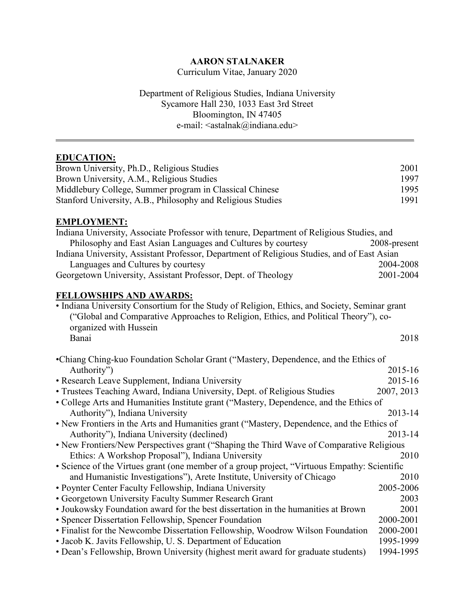# **AARON STALNAKER**

Curriculum Vitae, January 2020

Department of Religious Studies, Indiana University Sycamore Hall 230, 1033 East 3rd Street Bloomington, IN 47405 e-mail: <astalnak@indiana.edu>

\_\_\_\_\_\_\_\_\_\_\_\_\_\_\_\_\_\_\_\_\_\_\_\_\_\_\_\_\_\_\_\_\_\_\_\_\_\_\_\_\_\_\_\_\_\_\_\_\_\_\_\_\_\_\_\_\_\_\_\_\_\_\_\_\_\_\_\_\_\_\_\_\_\_\_\_\_

# **EDUCATION:**

| Brown University, Ph.D., Religious Studies                  | 2001 |
|-------------------------------------------------------------|------|
| Brown University, A.M., Religious Studies                   | 1997 |
| Middlebury College, Summer program in Classical Chinese     | 1995 |
| Stanford University, A.B., Philosophy and Religious Studies | 1991 |

## **EMPLOYMENT:**

| Indiana University, Associate Professor with tenure, Department of Religious Studies, and   |              |  |
|---------------------------------------------------------------------------------------------|--------------|--|
| Philosophy and East Asian Languages and Cultures by courtesy                                | 2008-present |  |
| Indiana University, Assistant Professor, Department of Religious Studies, and of East Asian |              |  |
| Languages and Cultures by courtesy                                                          | 2004-2008    |  |
| Georgetown University, Assistant Professor, Dept. of Theology                               | 2001-2004    |  |

# **FELLOWSHIPS AND AWARDS:**

| • Indiana University Consortium for the Study of Religion, Ethics, and Society, Seminar grant |      |
|-----------------------------------------------------------------------------------------------|------|
| ("Global and Comparative Approaches to Religion, Ethics, and Political Theory"), co-          |      |
| organized with Hussein                                                                        |      |
| Banai                                                                                         | 2018 |
|                                                                                               |      |

| •Chiang Ching-kuo Foundation Scholar Grant ("Mastery, Dependence, and the Ethics of          |            |  |  |
|----------------------------------------------------------------------------------------------|------------|--|--|
| Authority")                                                                                  | 2015-16    |  |  |
| • Research Leave Supplement, Indiana University                                              | 2015-16    |  |  |
| • Trustees Teaching Award, Indiana University, Dept. of Religious Studies                    | 2007, 2013 |  |  |
| • College Arts and Humanities Institute grant ("Mastery, Dependence, and the Ethics of       |            |  |  |
| Authority"), Indiana University                                                              | 2013-14    |  |  |
| • New Frontiers in the Arts and Humanities grant ("Mastery, Dependence, and the Ethics of    |            |  |  |
| Authority"), Indiana University (declined)                                                   | 2013-14    |  |  |
| • New Frontiers/New Perspectives grant ("Shaping the Third Wave of Comparative Religious     |            |  |  |
| Ethics: A Workshop Proposal"), Indiana University                                            | 2010       |  |  |
| • Science of the Virtues grant (one member of a group project, "Virtuous Empathy: Scientific |            |  |  |
| and Humanistic Investigations"), Arete Institute, University of Chicago                      | 2010       |  |  |
| • Poynter Center Faculty Fellowship, Indiana University                                      | 2005-2006  |  |  |
| • Georgetown University Faculty Summer Research Grant                                        | 2003       |  |  |
| • Joukowsky Foundation award for the best dissertation in the humanities at Brown            | 2001       |  |  |
| • Spencer Dissertation Fellowship, Spencer Foundation                                        | 2000-2001  |  |  |
| • Finalist for the Newcombe Dissertation Fellowship, Woodrow Wilson Foundation               | 2000-2001  |  |  |
| • Jacob K. Javits Fellowship, U. S. Department of Education                                  | 1995-1999  |  |  |
| • Dean's Fellowship, Brown University (highest merit award for graduate students)            | 1994-1995  |  |  |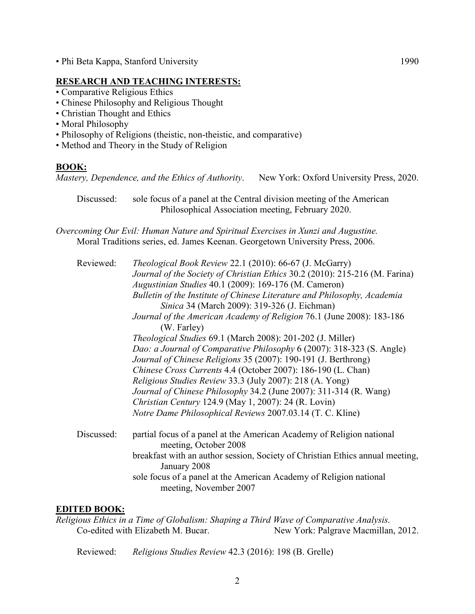• Phi Beta Kappa, Stanford University 1990

## **RESEARCH AND TEACHING INTERESTS:**

- Comparative Religious Ethics
- Chinese Philosophy and Religious Thought
- Christian Thought and Ethics
- Moral Philosophy
- Philosophy of Religions (theistic, non-theistic, and comparative)
- Method and Theory in the Study of Religion

# **BOOK:**

*Mastery, Dependence, and the Ethics of Authority*. New York: Oxford University Press, 2020.

Discussed: sole focus of a panel at the Central division meeting of the American Philosophical Association meeting, February 2020.

*Overcoming Our Evil: Human Nature and Spiritual Exercises in Xunzi and Augustine.* Moral Traditions series, ed. James Keenan. Georgetown University Press, 2006.

| Reviewed:  | Theological Book Review 22.1 (2010): 66-67 (J. McGarry)                                        |
|------------|------------------------------------------------------------------------------------------------|
|            | Journal of the Society of Christian Ethics 30.2 (2010): 215-216 (M. Farina)                    |
|            | Augustinian Studies 40.1 (2009): 169-176 (M. Cameron)                                          |
|            | Bulletin of the Institute of Chinese Literature and Philosophy, Academia                       |
|            | Sinica 34 (March 2009): 319-326 (J. Eichman)                                                   |
|            | Journal of the American Academy of Religion 76.1 (June 2008): 183-186<br>(W. Farley)           |
|            | <i>Theological Studies</i> 69.1 (March 2008): 201-202 (J. Miller)                              |
|            | Dao: a Journal of Comparative Philosophy 6 (2007): 318-323 (S. Angle)                          |
|            | Journal of Chinese Religions 35 (2007): 190-191 (J. Berthrong)                                 |
|            | Chinese Cross Currents 4.4 (October 2007): 186-190 (L. Chan)                                   |
|            | <i>Religious Studies Review</i> 33.3 (July 2007): 218 (A. Yong)                                |
|            | Journal of Chinese Philosophy 34.2 (June 2007): 311-314 (R. Wang)                              |
|            | Christian Century 124.9 (May 1, 2007): 24 (R. Lovin)                                           |
|            | Notre Dame Philosophical Reviews 2007.03.14 (T. C. Kline)                                      |
| Discussed: | partial focus of a panel at the American Academy of Religion national<br>meeting, October 2008 |
|            | breakfast with an author session, Society of Christian Ethics annual meeting,<br>January 2008  |
|            | sole focus of a panel at the American Academy of Religion national<br>meeting, November 2007   |

# **EDITED BOOK:**

*Religious Ethics in a Time of Globalism: Shaping a Third Wave of Comparative Analysis.* Co-edited with Elizabeth M. Bucar. New York: Palgrave Macmillan, 2012.

Reviewed: *Religious Studies Review* 42.3 (2016): 198 (B. Grelle)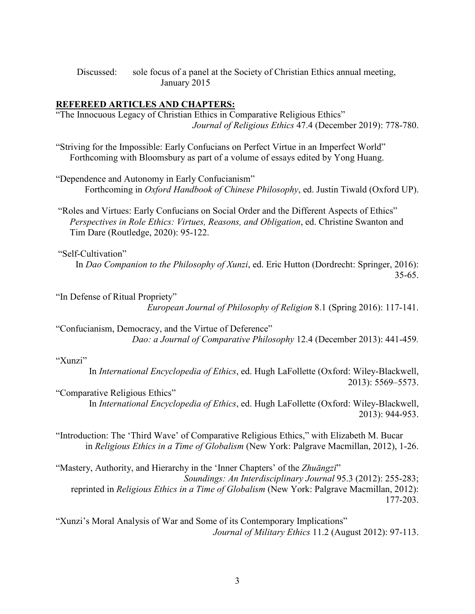Discussed: sole focus of a panel at the Society of Christian Ethics annual meeting, January 2015

#### **REFEREED ARTICLES AND CHAPTERS:**

"The Innocuous Legacy of Christian Ethics in Comparative Religious Ethics" *Journal of Religious Ethics* 47.4 (December 2019): 778-780.

"Striving for the Impossible: Early Confucians on Perfect Virtue in an Imperfect World" Forthcoming with Bloomsbury as part of a volume of essays edited by Yong Huang.

"Dependence and Autonomy in Early Confucianism" Forthcoming in *Oxford Handbook of Chinese Philosophy*, ed. Justin Tiwald (Oxford UP).

"Roles and Virtues: Early Confucians on Social Order and the Different Aspects of Ethics" *Perspectives in Role Ethics: Virtues, Reasons, and Obligation*, ed. Christine Swanton and Tim Dare (Routledge, 2020): 95-122.

"Self-Cultivation"

In *Dao Companion to the Philosophy of Xunzi*, ed. Eric Hutton (Dordrecht: Springer, 2016): 35-65.

"In Defense of Ritual Propriety"

*European Journal of Philosophy of Religion* 8.1 (Spring 2016): 117-141.

"Confucianism, Democracy, and the Virtue of Deference" *Dao: a Journal of Comparative Philosophy* 12.4 (December 2013): 441-459*.*

#### "Xunzi"

In *International Encyclopedia of Ethics*, ed. Hugh LaFollette (Oxford: Wiley-Blackwell, 2013): 5569–5573.

"Comparative Religious Ethics" In *International Encyclopedia of Ethics*, ed. Hugh LaFollette (Oxford: Wiley-Blackwell, 2013): 944-953.

"Introduction: The 'Third Wave' of Comparative Religious Ethics," with Elizabeth M. Bucar in *Religious Ethics in a Time of Globalism* (New York: Palgrave Macmillan, 2012), 1-26.

"Mastery, Authority, and Hierarchy in the 'Inner Chapters' of the *Zhuāngzǐ*" *Soundings: An Interdisciplinary Journal* 95.3 (2012): 255-283; reprinted in *Religious Ethics in a Time of Globalism* (New York: Palgrave Macmillan, 2012): 177-203.

"Xunzi's Moral Analysis of War and Some of its Contemporary Implications" *Journal of Military Ethics* 11.2 (August 2012): 97-113.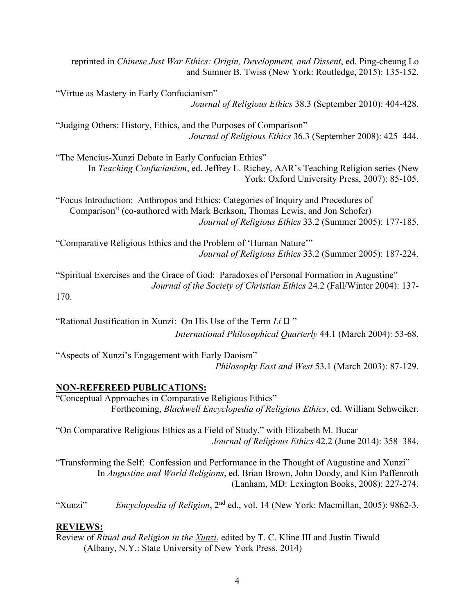reprinted in *Chinese Just War Ethics: Origin, Development, and Dissent*, ed. Ping-cheung Lo and Sumner B. Twiss (New York: Routledge, 2015): 135-152.

"Virtue as Mastery in Early Confucianism" *Journal of Religious Ethics* 38.3 (September 2010): 404-428.

"Judging Others: History, Ethics, and the Purposes of Comparison" *Journal of Religious Ethics* 36.3 (September 2008): 425–444.

"The Mencius-Xunzi Debate in Early Confucian Ethics" In *Teaching Confucianism*, ed. Jeffrey L. Richey, AAR's Teaching Religion series (New York: Oxford University Press, 2007): 85-105.

"Focus Introduction: Anthropos and Ethics: Categories of Inquiry and Procedures of Comparison" (co-authored with Mark Berkson, Thomas Lewis, and Jon Schofer) *Journal of Religious Ethics* 33.2 (Summer 2005): 177-185.

"Comparative Religious Ethics and the Problem of 'Human Nature'" *Journal of Religious Ethics* 33.2 (Summer 2005): 187-224.

"Spiritual Exercises and the Grace of God: Paradoxes of Personal Formation in Augustine" *Journal of the Society of Christian Ethics* 24.2 (Fall/Winter 2004): 137- 170.

"Rational Justification in Xunzi: On His Use of the Term *Lǐ* 理 " *International Philosophical Quarterly* 44.1 (March 2004): 53-68.

"Aspects of Xunzi's Engagement with Early Daoism" *Philosophy East and West* 53.1 (March 2003): 87-129.

# **NON-REFEREED PUBLICATIONS:**

"Conceptual Approaches in Comparative Religious Ethics" Forthcoming, *Blackwell Encyclopedia of Religious Ethics*, ed. William Schweiker.

"On Comparative Religious Ethics as a Field of Study," with Elizabeth M. Bucar *Journal of Religious Ethics* 42.2 (June 2014): 358–384.

"Transforming the Self: Confession and Performance in the Thought of Augustine and Xunzi" In *Augustine and World Religions*, ed. Brian Brown, John Doody, and Kim Paffenroth (Lanham, MD: Lexington Books, 2008): 227-274.

"Xunzi" *Encyclopedia of Religion*, 2<sup>nd</sup> ed., vol. 14 (New York: Macmillan, 2005): 9862-3.

# **REVIEWS:**

Review of *Ritual and Religion in the Xunzi*, edited by T. C. Kline III and Justin Tiwald (Albany, N.Y.: State University of New York Press, 2014)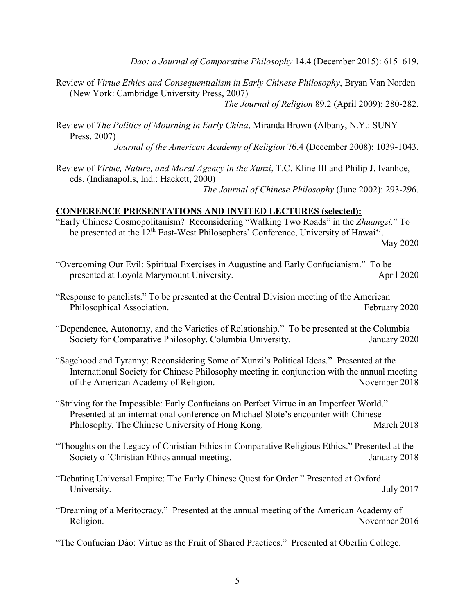*Dao: a Journal of Comparative Philosophy* 14.4 (December 2015): 615–619.

- Review of *Virtue Ethics and Consequentialism in Early Chinese Philosophy*, Bryan Van Norden (New York: Cambridge University Press, 2007) *The Journal of Religion* 89.2 (April 2009): 280-282.
- Review of *The Politics of Mourning in Early China*, Miranda Brown (Albany, N.Y.: SUNY Press, 2007)

*Journal of the American Academy of Religion* 76.4 (December 2008): 1039-1043.

Review of *Virtue, Nature, and Moral Agency in the Xunzi*, T.C. Kline III and Philip J. Ivanhoe, eds. (Indianapolis, Ind.: Hackett, 2000)

*The Journal of Chinese Philosophy* (June 2002): 293-296.

#### **CONFERENCE PRESENTATIONS AND INVITED LECTURES (selected):**

- "Early Chinese Cosmopolitanism? Reconsidering "Walking Two Roads" in the *Zhuangzi.*" To be presented at the 12<sup>th</sup> East-West Philosophers' Conference, University of Hawai'i. May 2020
- "Overcoming Our Evil: Spiritual Exercises in Augustine and Early Confucianism." To be presented at Loyola Marymount University. April 2020
- "Response to panelists." To be presented at the Central Division meeting of the American Philosophical Association. The extension of the February 2020
- "Dependence, Autonomy, and the Varieties of Relationship." To be presented at the Columbia Society for Comparative Philosophy, Columbia University. January 2020
- "Sagehood and Tyranny: Reconsidering Some of Xunzi's Political Ideas." Presented at the International Society for Chinese Philosophy meeting in conjunction with the annual meeting of the American Academy of Religion. November 2018
- "Striving for the Impossible: Early Confucians on Perfect Virtue in an Imperfect World." Presented at an international conference on Michael Slote's encounter with Chinese Philosophy, The Chinese University of Hong Kong. March 2018
- "Thoughts on the Legacy of Christian Ethics in Comparative Religious Ethics." Presented at the Society of Christian Ethics annual meeting. January 2018
- "Debating Universal Empire: The Early Chinese Quest for Order." Presented at Oxford University. July 2017
- "Dreaming of a Meritocracy." Presented at the annual meeting of the American Academy of Religion. November 2016
- "The Confucian Dào: Virtue as the Fruit of Shared Practices." Presented at Oberlin College.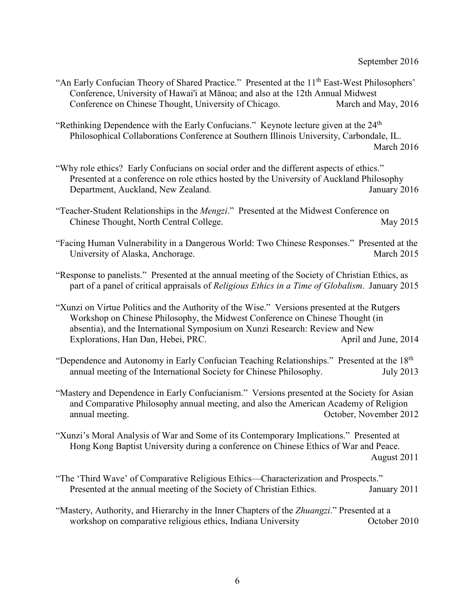- "An Early Confucian Theory of Shared Practice." Presented at the 11<sup>th</sup> East-West Philosophers' Conference, University of Hawai'i at Mānoa; and also at the 12th Annual Midwest Conference on Chinese Thought, University of Chicago.
- "Rethinking Dependence with the Early Confucians." Keynote lecture given at the  $24<sup>th</sup>$ Philosophical Collaborations Conference at Southern Illinois University, Carbondale, IL. March 2016
- "Why role ethics? Early Confucians on social order and the different aspects of ethics." Presented at a conference on role ethics hosted by the University of Auckland Philosophy Department, Auckland, New Zealand.  $\frac{1}{2016}$
- "Teacher-Student Relationships in the *Mengzi*." Presented at the Midwest Conference on Chinese Thought, North Central College. May 2015
- "Facing Human Vulnerability in a Dangerous World: Two Chinese Responses." Presented at the University of Alaska, Anchorage. March 2015
- "Response to panelists." Presented at the annual meeting of the Society of Christian Ethics, as part of a panel of critical appraisals of *Religious Ethics in a Time of Globalism*. January 2015
- "Xunzi on Virtue Politics and the Authority of the Wise." Versions presented at the Rutgers Workshop on Chinese Philosophy, the Midwest Conference on Chinese Thought (in absentia), and the International Symposium on Xunzi Research: Review and New Explorations, Han Dan, Hebei, PRC. April and June, 2014
- "Dependence and Autonomy in Early Confucian Teaching Relationships." Presented at the 18<sup>th</sup> annual meeting of the International Society for Chinese Philosophy. July 2013
- "Mastery and Dependence in Early Confucianism." Versions presented at the Society for Asian and Comparative Philosophy annual meeting, and also the American Academy of Religion annual meeting. October, November 2012
- "Xunzi's Moral Analysis of War and Some of its Contemporary Implications." Presented at Hong Kong Baptist University during a conference on Chinese Ethics of War and Peace. August 2011
- "The 'Third Wave' of Comparative Religious Ethics—Characterization and Prospects." Presented at the annual meeting of the Society of Christian Ethics. January 2011
- "Mastery, Authority, and Hierarchy in the Inner Chapters of the *Zhuangzi*." Presented at a workshop on comparative religious ethics, Indiana University **Solution** October 2010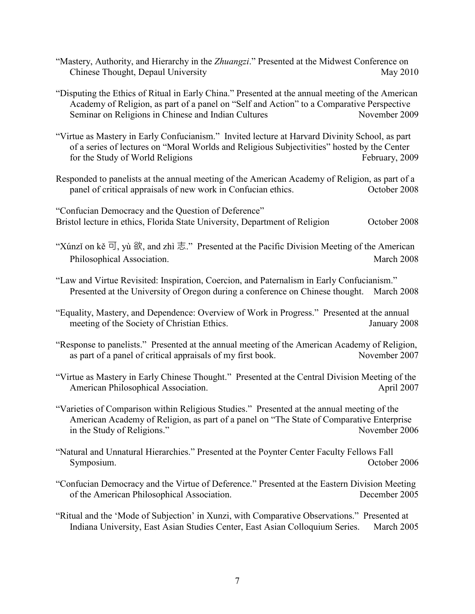- "Mastery, Authority, and Hierarchy in the *Zhuangzi*." Presented at the Midwest Conference on Chinese Thought, Depaul University May 2010
- "Disputing the Ethics of Ritual in Early China." Presented at the annual meeting of the American Academy of Religion, as part of a panel on "Self and Action" to a Comparative Perspective Seminar on Religions in Chinese and Indian Cultures November 2009
- "Virtue as Mastery in Early Confucianism." Invited lecture at Harvard Divinity School, as part of a series of lectures on "Moral Worlds and Religious Subjectivities" hosted by the Center for the Study of World Religions February, 2009
- Responded to panelists at the annual meeting of the American Academy of Religion, as part of a panel of critical appraisals of new work in Confucian ethics. October 2008

"Confucian Democracy and the Question of Deference" Bristol lecture in ethics, Florida State University, Department of Religion October 2008

"Xúnzi on kě  $\overline{q}$ , yù  $\hat{q}$ , and zhì  $\overline{\mathcal{L}}$ ." Presented at the Pacific Division Meeting of the American Philosophical Association. March 2008

- "Law and Virtue Revisited: Inspiration, Coercion, and Paternalism in Early Confucianism." Presented at the University of Oregon during a conference on Chinese thought. March 2008
- "Equality, Mastery, and Dependence: Overview of Work in Progress." Presented at the annual meeting of the Society of Christian Ethics. January 2008
- "Response to panelists." Presented at the annual meeting of the American Academy of Religion, as part of a panel of critical appraisals of my first book. November 2007
- "Virtue as Mastery in Early Chinese Thought." Presented at the Central Division Meeting of the American Philosophical Association. April 2007
- "Varieties of Comparison within Religious Studies." Presented at the annual meeting of the American Academy of Religion, as part of a panel on "The State of Comparative Enterprise in the Study of Religions." November 2006
- "Natural and Unnatural Hierarchies." Presented at the Poynter Center Faculty Fellows Fall Symposium. October 2006
- "Confucian Democracy and the Virtue of Deference." Presented at the Eastern Division Meeting of the American Philosophical Association. December 2005
- "Ritual and the 'Mode of Subjection' in Xunzi, with Comparative Observations." Presented at Indiana University, East Asian Studies Center, East Asian Colloquium Series. March 2005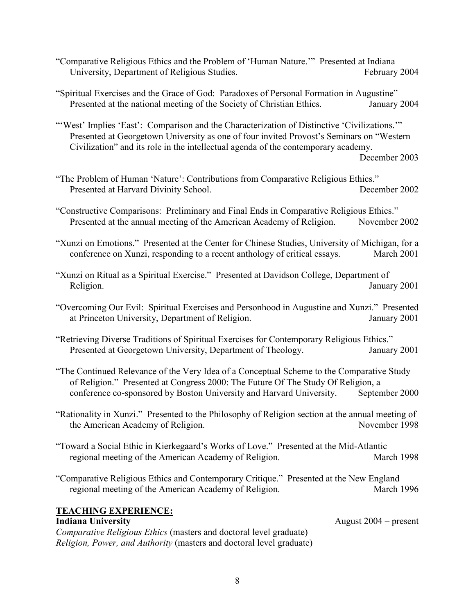- "Comparative Religious Ethics and the Problem of 'Human Nature.'" Presented at Indiana University, Department of Religious Studies. February 2004
- "Spiritual Exercises and the Grace of God: Paradoxes of Personal Formation in Augustine" Presented at the national meeting of the Society of Christian Ethics. January 2004

"'West' Implies 'East': Comparison and the Characterization of Distinctive 'Civilizations."" Presented at Georgetown University as one of four invited Provost's Seminars on "Western Civilization" and its role in the intellectual agenda of the contemporary academy.

December 2003

"The Problem of Human 'Nature': Contributions from Comparative Religious Ethics." Presented at Harvard Divinity School. December 2002

"Constructive Comparisons: Preliminary and Final Ends in Comparative Religious Ethics." Presented at the annual meeting of the American Academy of Religion. November 2002

- "Xunzi on Emotions." Presented at the Center for Chinese Studies, University of Michigan, for a conference on Xunzi, responding to a recent anthology of critical essays. March 2001
- "Xunzi on Ritual as a Spiritual Exercise." Presented at Davidson College, Department of Religion. January 2001
- "Overcoming Our Evil: Spiritual Exercises and Personhood in Augustine and Xunzi." Presented at Princeton University, Department of Religion. January 2001
- "Retrieving Diverse Traditions of Spiritual Exercises for Contemporary Religious Ethics." Presented at Georgetown University, Department of Theology. January 2001
- "The Continued Relevance of the Very Idea of a Conceptual Scheme to the Comparative Study of Religion." Presented at Congress 2000: The Future Of The Study Of Religion, a conference co-sponsored by Boston University and Harvard University. September 2000
- "Rationality in Xunzi." Presented to the Philosophy of Religion section at the annual meeting of the American Academy of Religion. November 1998
- "Toward a Social Ethic in Kierkegaard's Works of Love." Presented at the Mid-Atlantic regional meeting of the American Academy of Religion. March 1998
- "Comparative Religious Ethics and Contemporary Critique." Presented at the New England regional meeting of the American Academy of Religion. March 1996

## **TEACHING EXPERIENCE:**

#### **Indiana University** August 2004 – present

*Comparative Religious Ethics* (masters and doctoral level graduate) *Religion, Power, and Authority* (masters and doctoral level graduate)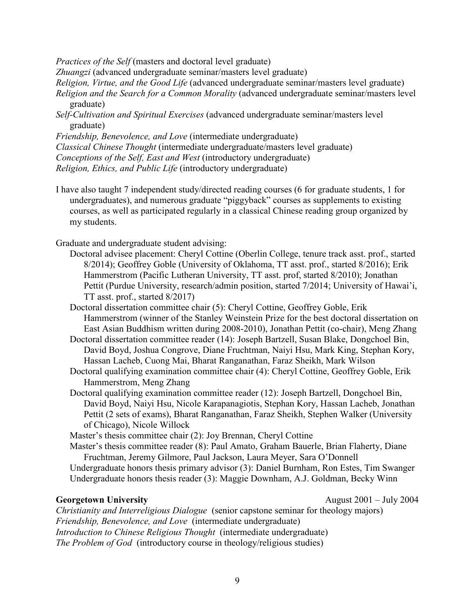*Practices of the Self* (masters and doctoral level graduate)

*Zhuangzi* (advanced undergraduate seminar/masters level graduate)

*Religion, Virtue, and the Good Life* (advanced undergraduate seminar/masters level graduate) *Religion and the Search for a Common Morality* (advanced undergraduate seminar/masters level

graduate)

*Self-Cultivation and Spiritual Exercises* (advanced undergraduate seminar/masters level graduate)

*Friendship, Benevolence, and Love* (intermediate undergraduate)

*Classical Chinese Thought* (intermediate undergraduate/masters level graduate)

*Conceptions of the Self, East and West* (introductory undergraduate)

*Religion, Ethics, and Public Life* (introductory undergraduate)

I have also taught 7 independent study/directed reading courses (6 for graduate students, 1 for undergraduates), and numerous graduate "piggyback" courses as supplements to existing courses, as well as participated regularly in a classical Chinese reading group organized by my students.

Graduate and undergraduate student advising:

- Doctoral advisee placement: Cheryl Cottine (Oberlin College, tenure track asst. prof., started 8/2014); Geoffrey Goble (University of Oklahoma, TT asst. prof., started 8/2016); Erik Hammerstrom (Pacific Lutheran University, TT asst. prof, started 8/2010); Jonathan Pettit (Purdue University, research/admin position, started 7/2014; University of Hawai'i, TT asst. prof., started 8/2017)
- Doctoral dissertation committee chair (5): Cheryl Cottine, Geoffrey Goble, Erik Hammerstrom (winner of the Stanley Weinstein Prize for the best doctoral dissertation on East Asian Buddhism written during 2008-2010), Jonathan Pettit (co-chair), Meng Zhang
- Doctoral dissertation committee reader (14): Joseph Bartzell, Susan Blake, Dongchoel Bin, David Boyd, Joshua Congrove, Diane Fruchtman, Naiyi Hsu, Mark King, Stephan Kory, Hassan Lacheb, Cuong Mai, Bharat Ranganathan, Faraz Sheikh, Mark Wilson

Doctoral qualifying examination committee chair (4): Cheryl Cottine, Geoffrey Goble, Erik Hammerstrom, Meng Zhang

Doctoral qualifying examination committee reader (12): Joseph Bartzell, Dongchoel Bin, David Boyd, Naiyi Hsu, Nicole Karapanagiotis, Stephan Kory, Hassan Lacheb, Jonathan Pettit (2 sets of exams), Bharat Ranganathan, Faraz Sheikh, Stephen Walker (University of Chicago), Nicole Willock

Master's thesis committee chair (2): Joy Brennan, Cheryl Cottine

Master's thesis committee reader (8): Paul Amato, Graham Bauerle, Brian Flaherty, Diane Fruchtman, Jeremy Gilmore, Paul Jackson, Laura Meyer, Sara O'Donnell

Undergraduate honors thesis primary advisor (3): Daniel Burnham, Ron Estes, Tim Swanger Undergraduate honors thesis reader (3): Maggie Downham, A.J. Goldman, Becky Winn

**Georgetown University** August 2001 – July 2004

*Christianity and Interreligious Dialogue* (senior capstone seminar for theology majors) *Friendship, Benevolence, and Love* (intermediate undergraduate) *Introduction to Chinese Religious Thought* (intermediate undergraduate) *The Problem of God* (introductory course in theology/religious studies)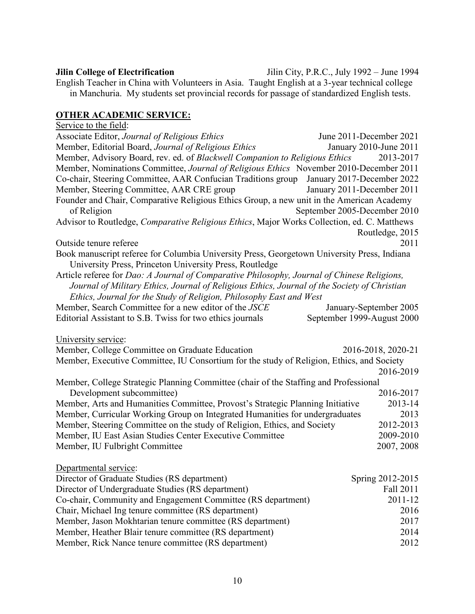**Jilin College of Electrification** Jilin City, P.R.C., July 1992 – June 1994 English Teacher in China with Volunteers in Asia. Taught English at a 3-year technical college in Manchuria. My students set provincial records for passage of standardized English tests.

# **OTHER ACADEMIC SERVICE:**

Service to the field: Associate Editor, *Journal of Religious Ethics* June 2011-December 2021 Member, Editorial Board, *Journal of Religious Ethics* January 2010-June 2011 Member, Advisory Board, rev. ed. of *Blackwell Companion to Religious Ethics* 2013-2017 Member, Nominations Committee, *Journal of Religious Ethics* November 2010-December 2011 Co-chair, Steering Committee, AAR Confucian Traditions group January 2017-December 2022 Member, Steering Committee, AAR CRE group January 2011-December 2011 Founder and Chair, Comparative Religious Ethics Group, a new unit in the American Academy of Religion September 2005-December 2010 Advisor to Routledge, *Comparative Religious Ethics*, Major Works Collection, ed. C. Matthews Routledge, 2015 Outside tenure referee 2011 Book manuscript referee for Columbia University Press, Georgetown University Press, Indiana University Press, Princeton University Press, Routledge Article referee for *Dao: A Journal of Comparative Philosophy, Journal of Chinese Religions, Journal of Military Ethics, Journal of Religious Ethics, Journal of the Society of Christian Ethics, Journal for the Study of Religion, Philosophy East and West* Member, Search Committee for a new editor of the *JSCE* January-September 2005 Editorial Assistant to S.B. Twiss for two ethics journals September 1999-August 2000 University service: Member, College Committee on Graduate Education 2016-2018, 2020-21 Member, Executive Committee, IU Consortium for the study of Religion, Ethics, and Society 2016-2019 Member, College Strategic Planning Committee (chair of the Staffing and Professional Development subcommittee) 2016-2017 Member, Arts and Humanities Committee, Provost's Strategic Planning Initiative 2013-14 Member, Curricular Working Group on Integrated Humanities for undergraduates 2013 Member, Steering Committee on the study of Religion, Ethics, and Society 2012-2013 Member, IU East Asian Studies Center Executive Committee 2009-2010 Member, IU Fulbright Committee 2007, 2008 Departmental service: Director of Graduate Studies (RS department) Spring 2012-2015 Director of Undergraduate Studies (RS department) Fall 2011 Co-chair, Community and Engagement Committee (RS department) 2011-12 Chair, Michael Ing tenure committee (RS department) 2016